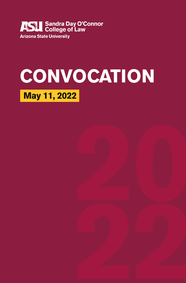

# **CONVOCATION May 11, 2022**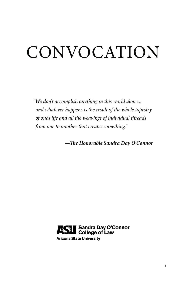# CONVOCATION

*"We don't accomplish anything in this world alone... and whatever happens is the result of the whole tapestry of one's life and all the weavings of individual threads from one to another that creates something."*

*—The Honorable Sandra Day O'Connor*

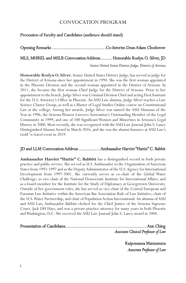# CONVOCATION PROGRAM

# Procession of Faculty and Candidates (audience should stand)

Opening Remarks ........................................Co-Interim Dean Adam Chodorow MLS, MHREL and MSLB Convocation Address......... Honorable Roslyn O. Silver, JD *Senior United States District Judge, District of Arizona*

**Honorable Roslyn O. Silver**, Senior United States District Judge, has served as judge for the District of Arizona since her appointment in 1994. She was the first woman appointed in the Phoenix Division and the second woman appointed in the District of Arizona. In 2011, she became the first woman Chief Judge for the District of Arizona. Prior to her appointment to the bench, Judge Silver was Criminal Division Chief and acting First Assistant for the U.S. Attorney's Office in Phoenix. An ASU Law alumna, Judge Silver teaches a Law Science Cluster Group, as well as a Master of Legal Studies Online course on Constitutional Law at the college. Among her awards, Judge Silver was named the ASU Alumnus of the Year in 1996, the Arizona Women Lawyers Association's Outstanding Member of the Legal Community in 1999, and one of 100 Significant Women and Minorities in Arizona's Legal History in 2000. Most recently, she was recognized with the ASU Law Journal John S. Lancy Distinguished Alumni Award in March 2016, and she was the alumni honoree at ASU Law's Gold 'n Gavel event in 2019.

# JD and LLM Convocation Address ................Ambassador Harriet "Hattie" C. Babbit

**Ambassador Harriet "Hattie" C. Babbitt** has a distinguished record in both private practice and public service. She served as U.S. Ambassador to the Organization of American States from 1993-1997 and as the Deputy Administrator of the U.S. Agency for International Development from 1997-2001. She currently serves as co-chair of the Global Water Challenge; as vice-chair of the National Democratic Institute for International Affairs; and as a board member for the Institute for the Study of Diplomacy at Georgetown University. Outside of her government roles, she has served as vice-chair of the Central European and Eurasian Law Initiative within the American Bar Association Rule of Law Initiative, chair of the U.S. Water Partnership, and chair of Population Action International. An alumna of ASU and ASU Law, Ambassador Babbitt clerked for the Chief Justice of the Arizona Supreme Court, Jack DH Hays, and was a private practice attorney for many years in both Phoenix and Washington, D.C. She received the ASU Law Journal John S. Lancy award in 2004.

Presentation of Candidates.............................................................Ann Ching *Associate Clinical Professor of Law*

> Kaiponanea Matsumura *Associate Professor of Law*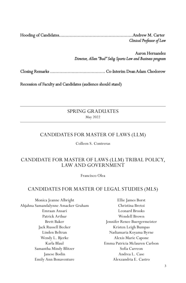Hooding of Candidates.......................................................Andrew M. Carter *Clinical Professor of Law*

> Aaron Hernandez *Director, Allan "Bud" Selig Sports Law and Business program*

Closing Remarks ......................................... Co-Interim Dean Adam Chodorow

Recession of Faculty and Candidates (audience should stand)

# SPRING GRADUATES May 2022

# CANDIDATES FOR MASTER OF LAWS (LLM)

Colleen S. Contreras

# CANDIDATE FOR MASTER OF LAWS (LLM) TRIBAL POLICY, LAW AND GOVERNMENT

Francisco Olea

# CANDIDATES FOR MASTER OF LEGAL STUDIES (MLS)

Monica Jeanne Albright Ahjahna Samandalynne Amacker Graham Emraan Ansari Patrick Arthur Brett Baker Jack Russell Becker Linden Beltran Wendy L. Bjerke Karla Blaul Samantha Mindy Blitzer Janese Bodin Emily Ann Bonaventure

Ellie James Borst Christina Bretoi Leonard Brooks Wendell Brown Jennifer Renee Buergermeister Kristen Leigh Bumpas Nadiamaria Koyama Byrne Alexis Marie Capone Emma Patricia Mclauren Carlson Sofia Carreon Andrea L. Case Alexzandria E. Castro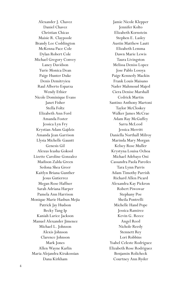Alexander J. Chavez Daniel Chavez Christian Chicas Maisie R. Claypoole Brandy Lee Coddington McKenna Pace Cole Dylan Robert Cole Michael Gregory Convey Laney Davidson Yurie Monica Dean Paige Hunter Duke Denis Dzmitryieu Raul Alberto Esparza Wendy Ethier Nicole Dominique Evans Janet Fisher Stella Foltz Elizabeth Ann Ford Amanda Foster Jessica Lyn Fry Krystian Adam Gajdzis Amanda Jean Garrison Llysia Michelle Gauntt Genesis Gil Alexus Ieasha Gokool Lizette Caroline Gonzalez Madison Zalda Green Sedona Shea Greer Kaitlyn Briana Gunther Jesus Gutierrez Megan Rose Haffner Sarah Adriana Harper Pamela Ann Harrison Monique Marie Hasbun Mejia Patrick Jay Hudson Becky Tang Ip Kaniah Larice Jackson Manuel Alexander Jimenez Michael L. Johnson Alexis Johnson Clarence Johnson Mark Jones Allen Wayne Karlin Maria Alejandra Kirakossian Dana Kirkham

Jamie Nicole Klepper Jennifer Kolto Elizabeth Kornstein Stephen E. Lasley Austin Matthew Lautt Elizabeth Lemma Dawn Marie Lewis Taura Livingston Melissa Deniss Lopez Jose Pablo Losoya Paige Kennedy Mackin Frank Louis Maisano Nader Mahmoud Majed Ciera Denise Marshall Cedrick Martin Santino Anthony Martoni Taylor McCloskey Walker James McCrae Adam Ray McGuffey Sarra McLeod Jessica Merritt Daniella Northall Milroy Marinda Mary Morgan Kelsey Rose Muller Krystyna Louisa Ochoa Michael Adebayo Oni Cassandra Paola Paredes Tara Lynn Parris Adam Timothy Parrish Richard Allen Picard Alexandra Kay Pickron Robert Piwowar Stephany Poe Sheila Pontrelli Michelle Hand Pope Jessica Ramirez Kevin G. Reece Angel Reed Nichole Reedy Stennett Rey Lori Robbins Ysabel Celeste Rodriguez Elizabeth Rose Rodriguez Benjamin Rolicheck Courtney Ann Ryder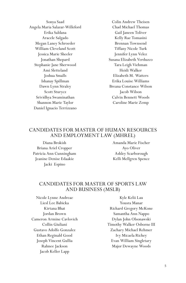Sonya Saad Angela Maria Salazar-Willeford Erika Saldana Aracele Salgado Megan Laney Schroeder William Cleveland Scott Jessica Marie Sheeler Jonathan Shepard Stephanie Jane Sherwood Ami Sletteland Joshua Smalls Ishanay Spillman Dawn Lynn Straley Scott Sturycz Srividhya Swaminathan Shannon Marie Taylor Daniel Ignacio Terrizzano

Colin Andrew Theisen Chad Michael Thomas Gail Janeen Toliver Kelly Rae Tomasini Brennan Townsend Tiffany Nicole Turk Jennifer Lynn Velez Susana Elizabeth Verduzco Tara Leigh Viehman Heidi Walker Elizabeth M. Watters Erika Louise Williams Breana Constance Wilson Jacob Wilson Calvin Bennett Woods Caroline Marie Zemp

# CANDIDATES FOR MASTER OF HUMAN RESOURCES AND EMPLOYMENT LAW (MHREL)

Diana Brokish Briana Ariel Cropper Patricia Ann Cunningham Jeanine Denise Edaakie Jacki Espino

Amanda Marie Fischer Ayo Oliver Ashley Scarborough Kelli Mellgren Spence

# CANDIDATES FOR MASTER OF SPORTS LAW AND BUSINESS (MSLB)

Nicole Lynne Andreae Liesl Lee Babicka Kirtana Bhat Jordan Brown Cameron Armine Cavlovich Collin Giuliani Gustavo Adolfo Gonzalez Ethan Reginald Good Joseph Vincent Gullia Rahnee Jackson Jacob Keller Lapp

Kyle Kelii Lau Yousra Manar Richard Gregory McKone Samantha Ann Nappo Dylan John Olsonawski Timothy Walker Osborne III Zachary Michael Rehmer Ivy Micaela Richey Evan William Singletary Major Dewayne Woods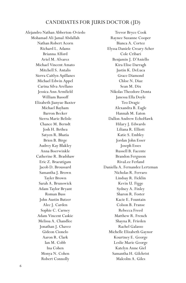# CANDIDATES FOR JURIS DOCTOR (JD)

Alejandro Nathan Abberton-Oviedo Mohamad Ali Jamal Abdallah Nathan Robert Acorn Richard L. Adams Brianna Alford Ariel M. Alvarez Michael Vincent Amato Mitchell S. Antalis Sierra Caitlyn Apillanes Michael Edwin Appel Carina Silva Arellano Jessica Ann Armfield William Bassoff Elizabeth Jianyue Baxter Michael Bayham Barron Becker Sierra Marie Belisle Chance M. Berndt Josh H. Bethea Satyen R. Bhatia Brien B. Birge Audrey Kay Blakley Anna Boerwinkle Catherine R. Bradshaw Eric Z. Braeutigam Jacob D. Broussard Samantha J. Brown Tayler Brown Sarah A. Brunswick Adam Taylor Bryant Roman Buss John Austin Butzer Alec J. Carden Sophie C. Carney Adam Vincent Caskie Melissa A. Chandlee Jonathan J. Chavez Gideon Cionelo Aaron R. Clark Ian M. Cobb Ina Cohen Monya N. Cohen Robert Connolly

Trevor Bryce Cook Raynee Suzanne Cooper Bianca A. Cortez Elyssa Daniele Creary-Scher Cole Cribari Benjamin J. D'Aniello Kira Elise Darragh Justin K. DeLuca Grace Diamond Chloe N. Diaz Sean M. Dix Nikolas Theodore Donta Janessa Ella Doyle Teo Dragic Alexandra B. Eagle Hannah M. Eaton Dallon Andrew EchoHawk Hilary J. Edwards Liliana R. Elliott Katie S. Embley Jordan John Esser Joseph Esses Russell B. Facente Brandon Ferguson RivaLee Ferland Daniella A. Fernandez Lertzman Nicholas R. Ferraro Lindsay R. Ficklin Kevin U. Figge Sydney A. Finley Sharon R. Foster Kacie E. Fountain Colson B. Franse Rebecca Freed Matthew R. French Shayna R. Frieden Rachel Galasso Michelle Elizabeth Gaynor Kourtney E. George Leslie Marie George Katelyn Anne Giel Samantha H. Gilchrist Malcolm A. Giles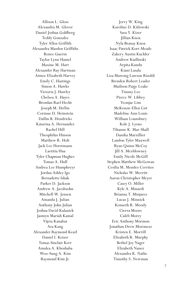Allison L. Gloss Alexandra M. Glover Daniel Joshua Goldberg Teddy Gonzalez Tyler Allen Griffith Alexandra Masden Griffiths Renee Guerin Taylor Lynn Hamel Maxine M. Hart Alexander Ray Hartman Aimee Elizabeth Harvey Emily C. Hastings Simon A. Hawks Victoria J. Hawley Chelsea A. Hayes Brendan Rael Hecht Joseph M. Heflin Corinne D. Heinstein Dallin B. Hendricks Katarina A. Hernandez Rachel Hill Theophilus Hinson Matthew R. Holt Jack Lee Horstmann Laetitia Hua Tyler Chapman Hughes Tomas A. Hull Andrea Lee Humphreys Jordan Ashley Igo Bernadette Ishak Parker D. Jackson Andrew A. Jacobsohn Mitchell W. Jensen Amanda J. Julian Anthony John Julian Joshua David Kalanick Jasmyn Mariah Kamal Vijeta Kanabar Ara Kang Alexander Raymond Kearl Daniel I. Keiser Tomas Sinclair Kerr Amalea A. Khoshaba Woo-Sung A. Kim Raymond Kim Jr.

Jerry W. King Karoline D. Kitlowski Sara Y. Kizer Jillian Knox Nyla Branay Knox Isaac Patrick Kort-Meade Zakery Austin Kuchler Andrew Kudlinski Arpita Kundu Kiani Lasala Liza Mawong Lawson Risoldi Brenden Robert Leader Madison Paige Leake Timmy Lee Pierce W. Libbey Yeonjae Lim McKenzie Ellen List Madeline Ann Louis William Lounsbury Kole J. Lyons Tihanne K. Mar-Shall Danika Marzillier Landon Tyler Maxwell Ryan Quinn McCoy Jill A. Mceldowney Emily Nicole McGill Stephen Matthew McGowan Cesilia M. Mendez Cerritos Nicholas W. Merritt Aaron Christopher Meyer Casey O. Miller Kyle A. Minardi Brianna T. Minjarez Lucas J. Minnick Kenneth R. Moody Cierra Moore Caleb Morey Eric Anthony Mormon Jonathan Drew Moroneso Kristen E. Morrill Elizabeth R. Murphy Bethel Joy Nager Elizabeth Nanez Alexandra K. Nathe Timothy S. Newman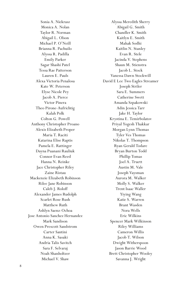Sonia A. Niekrasz Monica A. Nolan Taylor R. Norman Abigail L. Olson Michael P. O'Neill Brianna R. Pachuilo Alyssa R. Padilla Emily Parker Sagar Shashi Patel Tessa Rae Patterson Lauren E. Pauls Alexa Victoria Penalosa Kate W. Peterson Elyse Nicole Pey Jacob A. Pierce Victor Pinera Theo Pirone-Aufrichtig Kalah Polk Colton G. Powell Anthony Christopher Proano Alexis Elizabeth Proper Maria T. Raciti Katarina Elise Raptis Pamela E. Rattinger Dayna Puanani Rauliuk Connor Evan Reed Hanna N. Reinke Jace Christopher Riley Zaine Ristau Mackenzie Elizabeth Robinson Rilee Jane Robinson Caleb J. Roloff Alexander James Rudolph Scarlet Rose Rush Matthew Ruth Ashlyn Saenz-Ochoa Jose Antonio Sanchez Hernandez Mark Sandison Owen Prescott Sandstrom Carter Santini Anna K. Sasaki Andria Talis Savitch Sara F. Selvaraj Noah Shanholtzer Michael V. Shaw

Alyssa Meredith Sherry Abigail G. Smith Chandler K. Smith Kaitlyn E. Smith Mahak Sodhi Kaitlin N. Stanley Evan R. Stele Jacinda V. Stephens Shaun M. Stienstra Jacob L. Stock Vanessa Dawn Stockwill David E Lee Two Eagles Streamer Joseph Striler Sara E. Summers Catherine Swett Amanda Szpakowski Adin Jessica Tarr Jake H. Taylor Krystina E. Temirbolatov Priyal Yogesh Thakkar Morgan Lynn Thomas Tyler Ves Thomas Nikolas T. Thompson Ryan Gerald Todare Bryan Burton Todd Phillip Tomas Joel A. Truett Austin M. Vale Joseph Vaysman Aurora M. Walker Molly S. Walker Trent Isaac Waller Yiying Wang Katie S. Warren Brant Wasden Nora Wells Eric Wilkins Spencer Mark Wilkinson Riley Williams Cameron Willis Jacob T. Wilson Dwight Witherspoon Jason Barrie Wood Brett Christopher Wooley Savanna J. Wright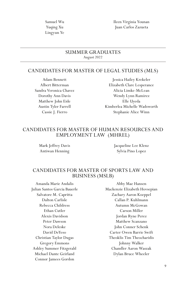Samuel Wu Yuqing Xu Lingyun Ye

Ileen Virginia Younan Juan Carlos Zazueta

#### SUMMER GRADUATES August 2022

#### CANDIDATES FOR MASTER OF LEGAL STUDIES (MLS)

Adam Bennett Albert Bitterman Sandra Veronica Chavez Dorothy Ann Davis Matthew John Eide Austin Tyler Farrell Cassie J. Fierro

Jessica Hailey Krekeler Elizabeth Clare Lesperance Alicia Limke-McLean Wendy Lynn Ramirez Elle Uyeda Kimberlea Michelle Wadsworth Stephanie Alice Winn

# CANDIDATES FOR MASTER OF HUMAN RESOURCES AND EMPLOYMENT LAW (MHREL)

Mark Jeffrey Davis Antiwan Henning

Jacqueline Lee Klenz Sylvia Pino Lopez

# CANDIDATES FOR MASTER OF SPORTS LAW AND BUSINESS (MSLB)

Amanda Marie Andalis Julian Santos Garcia Bauerle Salvatore M. Capritta Dalton Carlisle Rebecca Childress Ethan Cutler Alexis Davidson Peter Dawson Nora Deleske David DeYeso Christian Taylor Dugas Gregory Emmons Ashley Summer Fitzgerald Michael Dante Geirland Connor Jamees Gordon

Abby Mae Hansen Mackenzie Elizabeth Hovsepian Zachary Aaron Koeppel Callan P. Kuhlmann Autumn McGowan Carson Miller Jordan Ryne Perez Matthew Scanzano John Conner Schenk Carter Owen Barrie Swift Theoklis Tim Theocharidis Johnny Walker Chandler Aaron Waszak Dylan Bruce Wheeler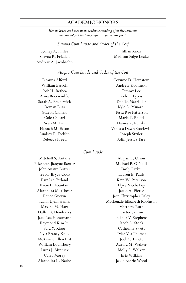# ACADEMIC HONORS

*Honors listed are based upon academic standing after five semesters and are subject to change after all grades are final.*

#### *Summa Cum Laude and Order of the Coif*

Sydney A. Finley Shayna R. Frieden Andrew A. Jacobsohn

Jillian Knox Madison Paige Leake

#### *Magna Cum Laude and Order of the Coif*

Brianna Alford William Bassoff Josh H. Bethea Anna Boerwinkle Sarah A. Brunswick Roman Buss Gideon Cionelo Cole Cribari Sean M. Dix Hannah M. Eaton Lindsay R. Ficklin Rebecca Freed

Corinne D. Heinstein Andrew Kudlinski Timmy Lee Kole J. Lyons Danika Marzillier Kyle A. Minardi Tessa Rae Patterson Maria T. Raciti Hanna N. Reinke Vanessa Dawn Stockwill Joseph Striler Adin Jessica Tarr

#### *Cum Laude*

Mitchell S. Antalis Elizabeth Jianyue Baxter John Austin Butzer Trevor Bryce Cook RivaLee Ferland Kacie E. Fountain Alexandra M. Glover Renee Guerin Taylor Lynn Hamel Maxine M. Hart Dallin B. Hendricks Jack Lee Horstmann Raymond Kim Jr. Sara Y. Kizer Nyla Branay Knox McKenzie Ellen List William Lounsbury Lucas J. Minnick Caleb Morey Alexandra K. Nathe

Abigail L. Olson Michael P. O'Neill Emily Parker Lauren E. Pauls Kate W. Peterson Elyse Nicole Pey Jacob A. Pierce Jace Christopher Riley Mackenzie Elizabeth Robinson Matthew Ruth Carter Santini Jacinda V. Stephens Jacob L. Stock Catherine Swett Tyler Ves Thomas Joel A. Truett Aurora M. Walker Molly S. Walker Eric Wilkins Jason Barrie Wood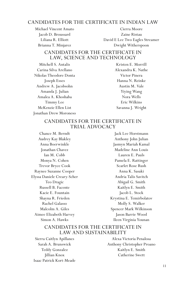# CANDIDATES FOR THE CERTIFICATE IN INDIAN LAW

Michael Vincent Amato Jacob D. Broussard Liliana R. Elliott Brianna T. Minjarez

Cierra Moore Zaine Ristau David E Lee Two Eagles Streamer Dwight Witherspoon

# CANDIDATES FOR THE CERTIFICATE IN LAW, SCIENCE AND TECHNOLOGY

Mitchell S. Antalis Carina Silva Arellano Nikolas Theodore Donta Joseph Esses Andrew A. Jacobsohn Amanda J. Julian Amalea A. Khoshaba Timmy Lee McKenzie Ellen List Jonathan Drew Moroneso

Kristen E. Morrill Alexandra K. Nathe Victor Pinera Hanna N. Reinke Austin M. Vale Yiying Wang Nora Wells Eric Wilkins Savanna J. Wright

### CANDIDATES FOR THE CERTIFICATE IN TRIAL ADVOCACY

Chance M. Berndt Audrey Kay Blakley Anna Boerwinkle Jonathan Chavez Ian M. Cobb Monya N. Cohen Trevor Bryce Cook Raynee Suzanne Cooper Elyssa Daniele Creary-Scher Teo Dragic Russell B. Facente Kacie E. Fountain Shayna R. Frieden Rachel Galasso Malcolm A. Giles Aimee Elizabeth Harvey Simon A. Hawks

Jack Lee Horstmann Anthony John Julian Jasmyn Mariah Kamal Madeline Ann Louis Lauren E. Pauls Pamela E. Rattinger Scarlet Rose Rush Anna K. Sasaki Andria Talis Savitch Abigail G. Smith Kaitlyn E. Smith Jacob L. Stock Krystina E. Temirbolatov Molly S. Walker Spencer Mark Wilkinson Jason Barrie Wood Ileen Virginia Younan

### CANDIDATES FOR THE CERTIFICATE IN LAW AND SUSTAINABILITY

Sierra Caitlyn Apillanes Sarah A. Brunswick Teddy Gonzalez Jillian Knox Isaac Patrick Kort-Meade

Alexa Victoria Penalosa Anthony Christopher Proano Kaitlyn E. Smith Catherine Swett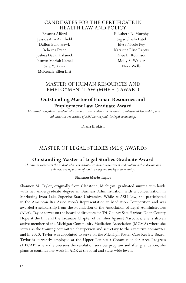#### CANDIDATES FOR THE CERTIFICATE IN HEALTH LAW AND POLICY

Brianna Alford Jessica Ann Armfield Dallon Echo Hawk Rebecca Freed Joshua David Kalanick Jasmyn Mariah Kamal Sara Y. Kizer McKenzie Ellen List

Elizabeth R. Murphy Sagar Shashi Patel Elyse Nicole Pey Katarina Elise Raptis Rilee E. Robinson Molly S. Walker Nora Wells

# MASTER OF HUMAN RESOURCES AND EMPLOYMENT LAW (MHREL) AWARD

# **Outstanding Master of Human Resources and Employment Law Graduate Award**

*This award recognizes a student who demonstrates academic achievement, professional leadership, and enhances the reputation of ASU Law beyond the legal community.*

Diana Brokish

# MASTER OF LEGAL STUDIES (MLS) AWARDS

# **Outstanding Master of Legal Studies Graduate Award**

*This award recognizes the student who demonstrates academic achievement and professional leadership and enhances the reputation of ASU Law beyond the legal community.*

#### Shannon Marie Taylor

Shannon M. Taylor, originally from Gladstone, Michigan, graduated summa cum laude with her undergraduate degree in Business Administration with a concentration in Marketing from Lake Superior State University. While at ASU Law, she participated in the American Bar Association's Representation in Mediation Competition and was awarded a scholarship from the Foundation of the Association of Legal Administrators (ALA). Taylor serves on the board of directors for Tri-County Safe Harbor, Delta County Hope at the Inn and the Escanaba Chapter of Families Against Narcotics. She is also an active member of the Michigan Community Mediation Association (MCMA) where she serves as the training committee chairperson and secretary to the executive committee and in 2020, Taylor was appointed to serve on the Michigan Foster Care Review Board. Taylor is currently employed at the Upper Peninsula Commission for Area Progress (UPCAP) where she oversees the resolution services program and after graduation, she plans to continue her work in ADR at the local and state-wide levels.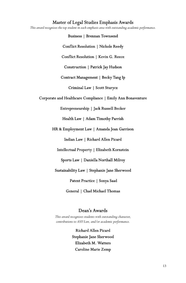#### Master of Legal Studies Emphasis Awards

*This award recognizes the top student in each emphasis area with outstanding academic performance.*

Business | Brennan Townsend Conflict Resolution | Nichole Reedy Conflict Resolution | Kevin G. Reece Construction | Patrick Jay Hudson Contract Management | Becky Tang Ip Criminal Law | Scott Sturycz Corporate and Healthcare Compliance | Emily Ann Bonaventure Entrepreneurship | Jack Russell Becker Health Law | Adam Timothy Parrish HR & Employment Law | Amanda Jean Garrison Indian Law | Richard Allen Picard Intellectual Property | Elizabeth Kornstein Sports Law | Daniella Northall Milroy Sustainability Law | Stephanie Jane Sherwood Patent Practice | Sonya Saad General | Chad Michael Thomas

#### Dean's Awards

*This award recognizes students with outstanding character, contributions to ASU Law, and/or academic performance.*

> Richard Allen Picard Stephanie Jane Sherwood Elizabeth M. Watters Caroline Marie Zemp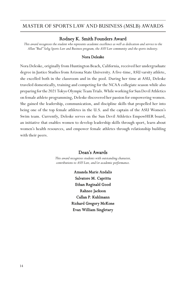# MASTER OF SPORTS LAW AND BUSINESS (MSLB) AWARDS

#### Rodney K. Smith Founders Award

*This award recognizes the student who represents academic excellence as well as dedication and service to the Allan "Bud" Selig Sports Law and Business program, the ASU Law community and the sports industry.*

#### Nora Deleske

Nora Deleske, originally from Huntington Beach, California, received her undergraduate degree in Justice Studies from Arizona State University. A five-time, ASU varsity athlete, she excelled both in the classroom and in the pool. During her time at ASU, Deleske traveled domestically, training and competing for the NCAA collegiate season while also preparing for the 2021 Tokyo Olympic Team Trials. While working for Sun Devil Athletics on female athlete programming, Deleske discovered her passion for empowering women. She gained the leadership, communication, and discipline skills that propelled her into being one of the top female athletes in the U.S. and the captain of the ASU Women's Swim team. Currently, Deleske serves on the Sun Devil Athletics EmpowHER board, an initiative that enables women to develop leadership skills through sport, learn about women's health resources, and empower female athletes through relationship building with their peers.

#### Dean's Awards

*This award recognizes students with outstanding character, contributions to ASU Law, and/or academic performance.*

> Amanda Marie Andalis Salvatore M. Capritta Ethan Reginald Good Rahnee Jackson Callan P. Kuhlmann Richard Gregory McKone Evan William Singletary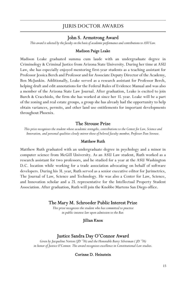# JURIS DOCTOR AWARDS

#### John S. Armstrong Award

*This award is selected by the faculty on the basis of academic performance and contributions to ASU Law.* 

#### Madison Paige Leake

Madison Leake graduated summa cum laude with an undergraduate degree in Criminology & Criminal Justice from Arizona State University. During her time at ASU Law, she has especially enjoyed mentoring first-year students as a teaching assistant for Professor Jessica Berch and Professor and for Associate Deputy Director of the Academy, Ben McJunkin. Additionally, Leake served as a research assistant for Professor Berch, helping draft and edit annotations for the Federal Rules of Evidence Manual and was also a member of the Arizona State Law Journal. After graduation, Leake is excited to join Burch & Cracchiolo, the firm she has worked at since her 1L year. Leake will be a part of the zoning and real estate groups, a group she has already had the opportunity to help obtain variances, permits, and other land use entitlements for important developments throughout Phoenix.

#### The Strouse Prize

*This prize recognizes the student whose academic strengths, contributions to the Center for Law, Science and Innovation, and personal qualities closely mirror those of beloved faculty member, Professor Dan Strouse.* 

#### Matthew Ruth

Matthew Ruth graduated with an undergraduate degree in psychology and a minor in computer science from McGill University. As an ASU Law student, Ruth worked as a research assistant for two professors, and he studied for a year at the ASU Washington D.C. location while working for a trade association advocating on behalf of software developers. During his 3L year, Ruth served as a senior executive editor for Jurimetrics, The Journal of Law, Science and Technology. He was also a Center for Law, Science, and Innovation scholar and a 2L representative for the Intellectual Property Student Association. After graduation, Ruth will join the Knobbe Martens San Diego office.

#### The Mary M. Schroeder Public Interest Prize

*This prize recognizes the student who has committed to practice in public-interest law upon admission to the Bar.* 

#### Jillian Knox

#### Justice Sandra Day O'Connor Award

*Given by Jacqueline Norton (JD '76) and the Honorable Barry Silverman ( JD '76) in honor of Justice O'Connor. The award recognizes excellence in Constitutional Law studies.*

#### Corinne D. Heinstein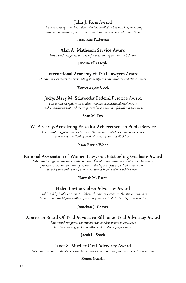# John J. Ross Award

*This award recognizes the student who has excelled in business law, including business organizations, securities regulations, and commercial transactions.*

#### Tessa Rae Patterson

#### Alan A. Matheson Service Award

*This award recognizes a student for outstanding service to ASU Law.*

#### Janessa Ella Doyle

#### International Academy of Trial Lawyers Award

*This award recognizes the outstanding student(s) in trial advocacy and clinical work.*

#### Trevor Bryce Cook

### Judge Mary M. Schroeder Federal Practice Award

*This award recognizes the student who has demonstrated excellence in academic achievement and shown particular interest in a federal practice area.*

#### Sean M. Dix

#### W. P. Carey/Armstrong Prize for Achievement in Public Service

*This award recognizes the student with the greatest contribution to public service and exemplifies "doing good while doing well" at ASU Law.*

#### Jason Barrie Wood

#### National Association of Women Lawyers Outstanding Graduate Award

*This award recognizes the student who has contributed to the advancement of women in society, promotes issues and concerns of women in the legal profession, exhibits motivation, tenacity and enthusiasm, and demonstrates high academic achievement.*

#### Hannah M. Eaton

#### Helen Levine Cohen Advocacy Award

*Established by Professor Jason K. Cohen, this award recognizes the student who has demonstrated the highest caliber of advocacy on behalf of the LGBTQ+ community.*

#### Jonathan J. Chavez

#### American Board Of Trial Advocates Bill Jones Trial Advocacy Award

*This award recognizes the student who has demonstrated excellence in trial advocacy, professionalism and academic performance.*

#### Jacob L. Stock

#### Janet S. Mueller Oral Advocacy Award

*This award recognizes the student who has excelled in oral advocacy and moot court competition.*

#### Renee Guerin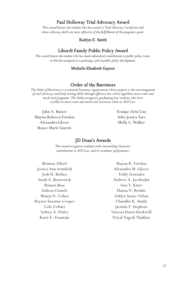# Paul Holloway Trial Advocacy Award

*This award honors the student who has earned a Trial Advocacy Certificate and whose advocacy skills are most reflective of the fulfillment of the program's goals.*

#### Kaitlyn E. Smith

#### Liburdi Family Public Policy Award

*This award honors the student who has made substantial contributions to public policy issues, or who has accepted or is pursuing a job in public policy development.*

#### Michelle Elizabeth Gaynor

#### Order of the Barristers

*The Order of Barristers is a national honorary organization whose purpose is the encouragement of oral advocacy and brief writing skills through effective law school appellate moot court and mock trial programs. The Order recognizes graduating law students who have excelled in moot court and mock trial activities while at ASU Law.*

John A. Butzer Shayna Rebecca Frieden Alexandra Glover Renee Marie Guerin

Yeonjae (Iris) Lim Adin Jessica Tarr Molly S. Walker

#### JD Dean's Awards

*This award recognizes students with outstanding character, contributions to ASU Law, and/or academic performance.*

Brianna Alford Jessica Ann Armfield Josh H. Bethea Sarah A. Brunswick Roman Buss Gideon Cionelo Monya N. Cohen Raynee Suzanne Cooper Cole Cribari Sydney A. Finley Kacie E. Fountain

Shayna R. Frieden Alexandra M. Glover Teddy Gonzalez Andrew A. Jacobsohn Sara Y. Kizer Hanna N. Reinke Ashlyn Saenz-Ochoa Chandler K. Smith Jacinda V. Stephens Vanessa Dawn Stockwill Priyal Yogesh Thakkar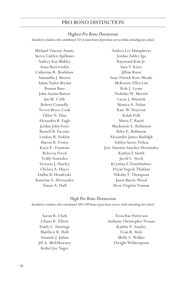# PRO BONO DISTINCTION

#### *Highest Pro Bono Distinction*

*Awarded to students who contributed 150 or more hours of pro bono service while attending law school.*

Michael Vincent Amato Sierra Caitlyn Apillanes Audrey Kay Blakley Anna Boerwinkle Catherine R. Bradshaw Samantha J. Brown Adam Taylor Bryant Roman Buss John Austin Butzer Ian M. Cobb Robert Connolly Trevor Bryce Cook Chloe N. Diaz Alexandra B. Eagle Jordan John Esser Russell B. Facente Lindsay R. Ficklin Sharon R. Foster Kacie E. Fountain Rebecca Freed Teddy Gonzalez Victoria J. Hawley Chelsea A. Hayes Dallin B. Hendricks Katarina A. Hernandez Tomas A. Hull

Andrea Lee Humphreys Jordan Ashley Igo Raymond Kim Jr. Sara Y. Kizer Jillian Knox Isaac Patrick Kort-Meade McKenzie Ellen List Kole J. Lyons Nicholas W. Merritt Lucas J. Minnick Monica A. Nolan Kate W. Peterson Kalah Polk Maria T. Raciti Mackenzie E. Robinson Rilee E. Robinson Alexander James Rudolph Ashlyn Saenz-Ochoa Jose Antonio Sanchez Hernandez Kaitlyn E Smith Jacob L. Stock Krystina E Temirbolatov Priyal Yogesh Thakkar Nikolas T. Thompson Jason Barrie Wood Ileen Virginia Younan

#### *High Pro Bono Distinction*

*Awarded to students who contributed 100-149 hours of pro bono service while attending law school.*

Aaron R. Clark Liliana R. Elliott Emily C. Hastings Matthew R. Holt Amanda J. Julian Jill A. McEldowney Bethel Joy Nager

Tessa Rae Patterson Anthony Christopher Proano Kaitlin N. Stanley Evan R. Stele Molly S. Walker Dwight Witherspoon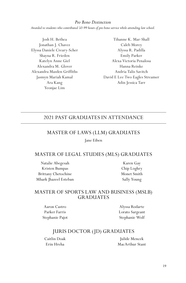*Pro Bono Distinction Awarded to students who contributed 50-99 hours of pro bono service while attending law school.*

Josh H. Bethea Jonathan J. Chavez Elyssa Daniele Creary-Scher Shayna R. Frieden Katelyn Anne Giel Alexandra M. Glover Alexandra Masden Griffiths Jasmyn Mariah Kamal Ara Kang Yeonjae Lim

Tihanne K. Mar-Shall Caleb Morey Alyssa R. Padilla Emily Parker Alexa Victoria Penalosa Hanna Reinke Andria Talis Savitch David E Lee Two Eagles Streamer Adin Jessica Tarr

# 2021 PAST GRADUATES IN ATTENDANCE

# MASTER OF LAWS (LLM) GRADUATES

Jane Eiben

# MASTER OF LEGAL STUDIES (MLS) GRADUATES

Natalie Abegesah Kristen Bumpas Brittany Chetochine Mhark Jhazeel Esteban

Karen Gay Chip Loghry Monet Smith Sally Young

# MASTER OF SPORTS LAW AND BUSINESS (MSLB) GRADUATES

Aaron Castro Parker Farris Stephanie Pajot

Alyssa Rodarte Lorato Sargeant Stephanie Wolf

# JURIS DOCTOR (JD) GRADUATES

Caitlin Doak Erin Hreha

Julide Mencek MacArthur Stant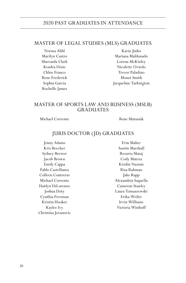# 2020 PAST GRADUATES IN ATTENDANCE

# MASTER OF LEGAL STUDIES (MLS) GRADUATES

Norma Abbl Marilyn Castro Shuvonda Clark Kendra Dixie Chloe Franco Rene Frederick Sophia Garcia Rochelle James

Karin Jinbo Mariana Maldonado Lorena McKinley Nicolette Oviedo Trevor Paladino Monet Smith Jacqueline Tarkington

# MASTER OF SPORTS LAW AND BUSINESS (MSLB) GRADUATES

Michael Corrente Rene Matusiak

# JURIS DOCTOR (JD) GRADUATES

Jenny Adams Kris Beecher Sydney Brewer Jacob Brown Emily Cappa Pablo Castellanos Colleen Contreras Michael Corrente Haidyn DiLorenzo Joshua Doty Cynthia Freeman Kristin Hooker Kaylee Ivy Christina Jovanovic

Erin Maher Austin Marshall Rezarta Mataj Cody Matera Krislin Nuzum Risa Rahman Jake Rapp Alexandria Saquella Cameron Stanley Laura Tomaszewski Erika Weiler Irvin Williams Victoria Wisthoff